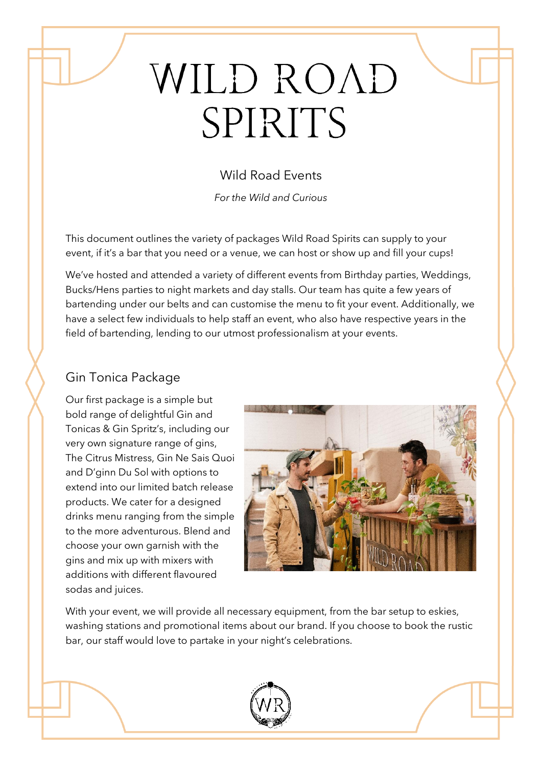# WILD ROAD **SPIRITS**

#### Wild Road Events

*For the Wild and Curious*

This document outlines the variety of packages Wild Road Spirits can supply to your event, if it's a bar that you need or a venue, we can host or show up and fill your cups!

We've hosted and attended a variety of different events from Birthday parties, Weddings, Bucks/Hens parties to night markets and day stalls. Our team has quite a few years of bartending under our belts and can customise the menu to fit your event. Additionally, we have a select few individuals to help staff an event, who also have respective years in the field of bartending, lending to our utmost professionalism at your events.

### Gin Tonica Package

Our first package is a simple but bold range of delightful Gin and Tonicas & Gin Spritz's, including our very own signature range of gins, The Citrus Mistress, Gin Ne Sais Quoi and D'ginn Du Sol with options to extend into our limited batch release products. We cater for a designed drinks menu ranging from the simple to the more adventurous. Blend and choose your own garnish with the gins and mix up with mixers with additions with different flavoured sodas and juices.



With your event, we will provide all necessary equipment, from the bar setup to eskies, washing stations and promotional items about our brand. If you choose to book the rustic bar, our staff would love to partake in your night's celebrations.